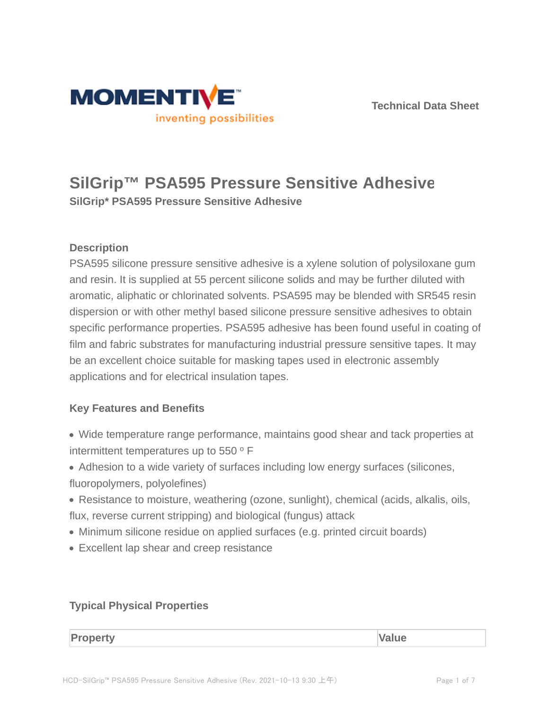



# **SilGrip™ PSA595 Pressure Sensitive Adhesive**

**SilGrip\* PSA595 Pressure Sensitive Adhesive**

# **Description**

PSA595 silicone pressure sensitive adhesive is a xylene solution of polysiloxane gum and resin. It is supplied at 55 percent silicone solids and may be further diluted with aromatic, aliphatic or chlorinated solvents. PSA595 may be blended with SR545 resin dispersion or with other methyl based silicone pressure sensitive adhesives to obtain specific performance properties. PSA595 adhesive has been found useful in coating of film and fabric substrates for manufacturing industrial pressure sensitive tapes. It may be an excellent choice suitable for masking tapes used in electronic assembly applications and for electrical insulation tapes.

# **Key Features and Benefits**

- Wide temperature range performance, maintains good shear and tack properties at intermittent temperatures up to 550 $^{\circ}$  F
- Adhesion to a wide variety of surfaces including low energy surfaces (silicones, fluoropolymers, polyolefines)
- Resistance to moisture, weathering (ozone, sunlight), chemical (acids, alkalis, oils, flux, reverse current stripping) and biological (fungus) attack
- Minimum silicone residue on applied surfaces (e.g. printed circuit boards)
- Excellent lap shear and creep resistance

# **Typical Physical Properties**

**Property Value**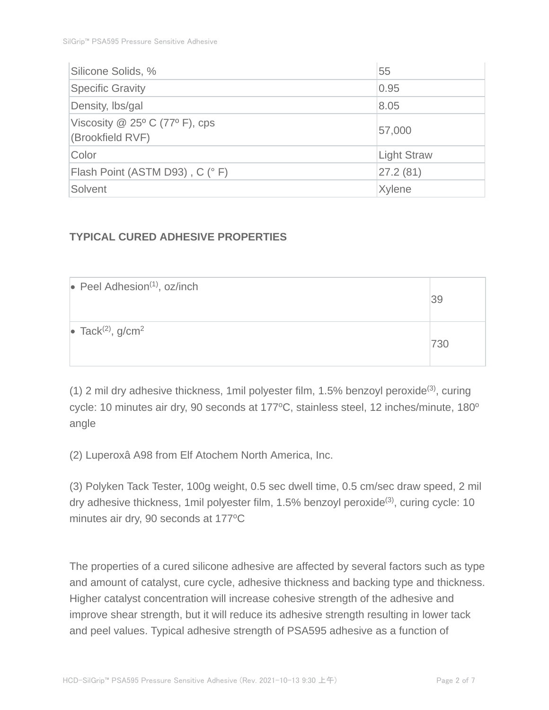| Silicone Solids, %               | 55                 |  |
|----------------------------------|--------------------|--|
| <b>Specific Gravity</b>          | 0.95               |  |
| Density, Ibs/gal                 | 8.05               |  |
| Viscosity $@$ 25° C (77° F), cps | 57,000             |  |
| (Brookfield RVF)                 |                    |  |
| Color                            | <b>Light Straw</b> |  |
| Flash Point (ASTM D93), C (° F)  | 27.2(81)           |  |
| Solvent                          | Xylene             |  |

# **TYPICAL CURED ADHESIVE PROPERTIES**

| $\bullet$ Peel Adhesion <sup>(1)</sup> , oz/inch | 39  |
|--------------------------------------------------|-----|
| • Tack <sup>(2)</sup> , $g/cm2$                  | 730 |

(1) 2 mil dry adhesive thickness, 1mil polyester film, 1.5% benzoyl peroxide(3), curing cycle: 10 minutes air dry, 90 seconds at 177°C, stainless steel, 12 inches/minute, 180° angle

(2) Luperoxâ A98 from Elf Atochem North America, Inc.

(3) Polyken Tack Tester, 100g weight, 0.5 sec dwell time, 0.5 cm/sec draw speed, 2 mil dry adhesive thickness, 1 mil polyester film, 1.5% benzoyl peroxide<sup>(3)</sup>, curing cycle: 10 minutes air dry, 90 seconds at 177°C

The properties of a cured silicone adhesive are affected by several factors such as type and amount of catalyst, cure cycle, adhesive thickness and backing type and thickness. Higher catalyst concentration will increase cohesive strength of the adhesive and improve shear strength, but it will reduce its adhesive strength resulting in lower tack and peel values. Typical adhesive strength of PSA595 adhesive as a function of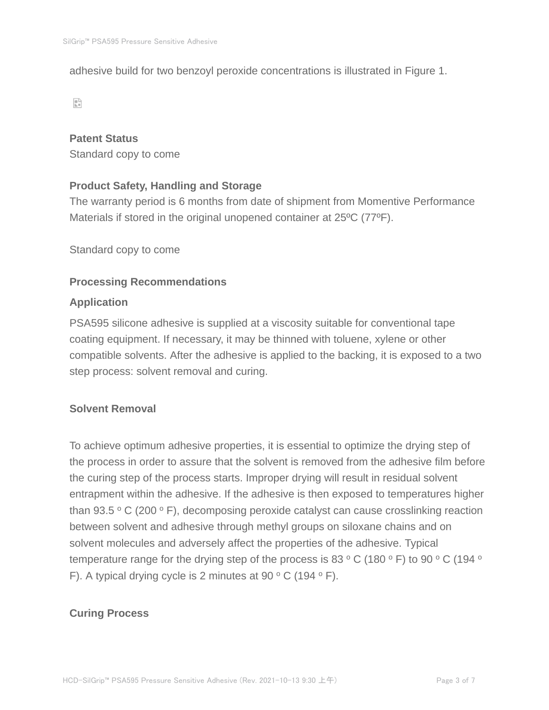adhesive build for two benzoyl peroxide concentrations is illustrated in Figure 1.

 $\mathbb{S}^n$ 

#### **Patent Status**

Standard copy to come

## **Product Safety, Handling and Storage**

The warranty period is 6 months from date of shipment from Momentive Performance Materials if stored in the original unopened container at 25ºC (77ºF).

Standard copy to come

#### **Processing Recommendations**

#### **Application**

PSA595 silicone adhesive is supplied at a viscosity suitable for conventional tape coating equipment. If necessary, it may be thinned with toluene, xylene or other compatible solvents. After the adhesive is applied to the backing, it is exposed to a two step process: solvent removal and curing.

# **Solvent Removal**

To achieve optimum adhesive properties, it is essential to optimize the drying step of the process in order to assure that the solvent is removed from the adhesive film before the curing step of the process starts. Improper drying will result in residual solvent entrapment within the adhesive. If the adhesive is then exposed to temperatures higher than 93.5  $\,^{\circ}$  C (200  $\,^{\circ}$  F), decomposing peroxide catalyst can cause crosslinking reaction between solvent and adhesive through methyl groups on siloxane chains and on solvent molecules and adversely affect the properties of the adhesive. Typical temperature range for the drying step of the process is 83  $\,^{\circ}$  C (180  $\,^{\circ}$  F) to 90  $\,^{\circ}$  C (194  $\,^{\circ}$ F). A typical drying cycle is 2 minutes at 90  $\,^{\circ}$  C (194  $\,^{\circ}$  F).

#### **Curing Process**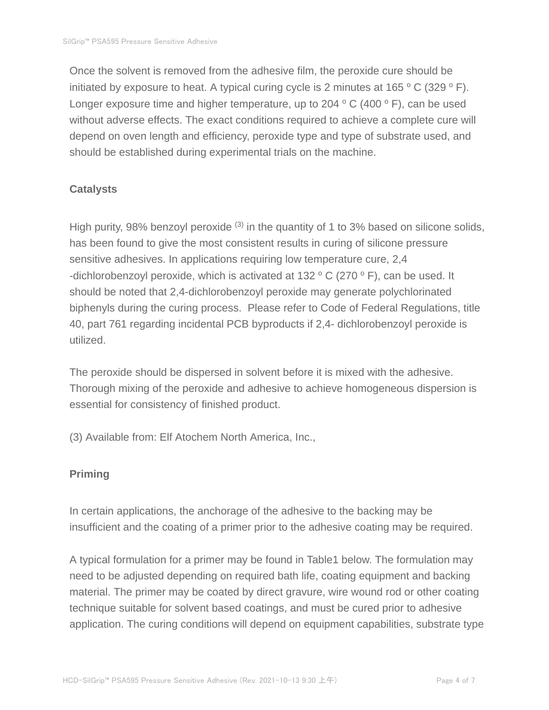Once the solvent is removed from the adhesive film, the peroxide cure should be initiated by exposure to heat. A typical curing cycle is 2 minutes at  $165 °C$  (329 ° F). Longer exposure time and higher temperature, up to 204  $\,^{\circ}$  C (400  $\,^{\circ}$  F), can be used without adverse effects. The exact conditions required to achieve a complete cure will depend on oven length and efficiency, peroxide type and type of substrate used, and should be established during experimental trials on the machine.

## **Catalysts**

High purity, 98% benzoyl peroxide  $(3)$  in the quantity of 1 to 3% based on silicone solids, has been found to give the most consistent results in curing of silicone pressure sensitive adhesives. In applications requiring low temperature cure, 2,4 -dichlorobenzoyl peroxide, which is activated at 132  $\,^{\circ}$  C (270  $\,^{\circ}$  F), can be used. It should be noted that 2,4-dichlorobenzoyl peroxide may generate polychlorinated biphenyls during the curing process. Please refer to Code of Federal Regulations, title 40, part 761 regarding incidental PCB byproducts if 2,4- dichlorobenzoyl peroxide is utilized.

The peroxide should be dispersed in solvent before it is mixed with the adhesive. Thorough mixing of the peroxide and adhesive to achieve homogeneous dispersion is essential for consistency of finished product.

(3) Available from: Elf Atochem North America, Inc.,

# **Priming**

In certain applications, the anchorage of the adhesive to the backing may be insufficient and the coating of a primer prior to the adhesive coating may be required.

A typical formulation for a primer may be found in Table1 below. The formulation may need to be adjusted depending on required bath life, coating equipment and backing material. The primer may be coated by direct gravure, wire wound rod or other coating technique suitable for solvent based coatings, and must be cured prior to adhesive application. The curing conditions will depend on equipment capabilities, substrate type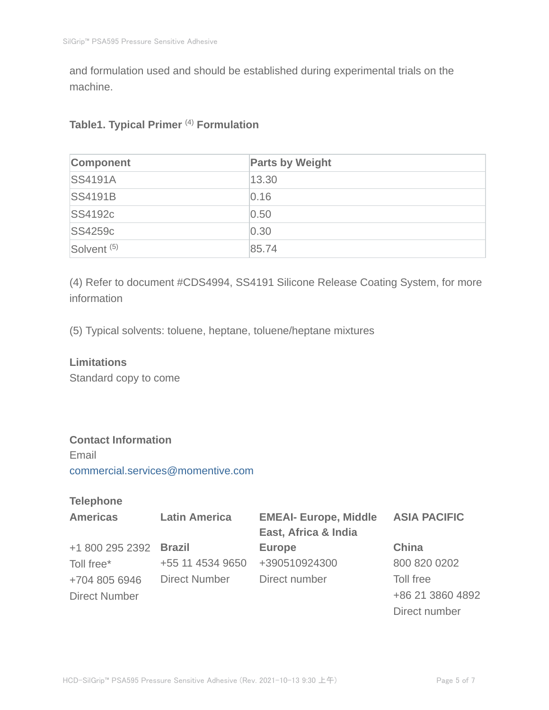and formulation used and should be established during experimental trials on the machine.

## **Table1. Typical Primer** (4) **Formulation**

| Component              | <b>Parts by Weight</b> |
|------------------------|------------------------|
| <b>SS4191A</b>         | 13.30                  |
| <b>SS4191B</b>         | 0.16                   |
| <b>SS4192c</b>         | 0.50                   |
| <b>SS4259c</b>         | 0.30                   |
| Solvent <sup>(5)</sup> | 85.74                  |

(4) Refer to document #CDS4994, SS4191 Silicone Release Coating System, for more information

(5) Typical solvents: toluene, heptane, toluene/heptane mixtures

#### **Limitations**

Standard copy to come

## **Contact Information**

Email commercial.services@momentive.com

# **Telephone**

| <b>Americas</b>        | <b>Latin America</b> | <b>EMEAI- Europe, Middle</b> | <b>ASIA PACIFIC</b> |
|------------------------|----------------------|------------------------------|---------------------|
|                        |                      | East, Africa & India         |                     |
| +1 800 295 2392 Brazil |                      | <b>Europe</b>                | <b>China</b>        |
| Toll free*             | +55 11 4534 9650     | +390510924300                | 800 820 0202        |
| +704 805 6946          | Direct Number        | Direct number                | Toll free           |
| <b>Direct Number</b>   |                      |                              | +86 21 3860 4892    |
|                        |                      |                              | Direct number       |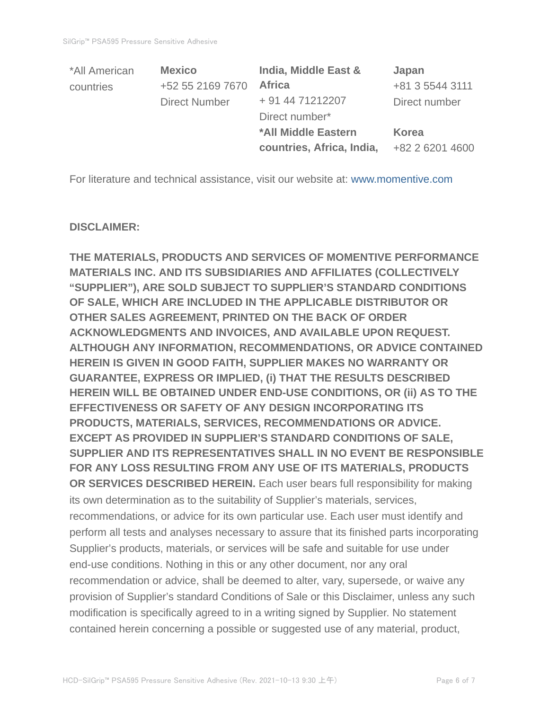| *All American | <b>Mexico</b>        | India, Middle East &       | Japan           |
|---------------|----------------------|----------------------------|-----------------|
| countries     | +52 55 2169 7670     | <b>Africa</b>              | +81 3 5544 3111 |
|               | <b>Direct Number</b> | + 91 44 71212207           | Direct number   |
|               |                      | Direct number*             |                 |
|               |                      | <b>*All Middle Eastern</b> | <b>Korea</b>    |
|               |                      | countries, Africa, India,  | +82 2 6201 4600 |

For literature and technical assistance, visit our website at: www.momentive.com

#### **DISCLAIMER:**

**THE MATERIALS, PRODUCTS AND SERVICES OF MOMENTIVE PERFORMANCE MATERIALS INC. AND ITS SUBSIDIARIES AND AFFILIATES (COLLECTIVELY "SUPPLIER"), ARE SOLD SUBJECT TO SUPPLIER'S STANDARD CONDITIONS OF SALE, WHICH ARE INCLUDED IN THE APPLICABLE DISTRIBUTOR OR OTHER SALES AGREEMENT, PRINTED ON THE BACK OF ORDER ACKNOWLEDGMENTS AND INVOICES, AND AVAILABLE UPON REQUEST. ALTHOUGH ANY INFORMATION, RECOMMENDATIONS, OR ADVICE CONTAINED HEREIN IS GIVEN IN GOOD FAITH, SUPPLIER MAKES NO WARRANTY OR GUARANTEE, EXPRESS OR IMPLIED, (i) THAT THE RESULTS DESCRIBED HEREIN WILL BE OBTAINED UNDER END-USE CONDITIONS, OR (ii) AS TO THE EFFECTIVENESS OR SAFETY OF ANY DESIGN INCORPORATING ITS PRODUCTS, MATERIALS, SERVICES, RECOMMENDATIONS OR ADVICE. EXCEPT AS PROVIDED IN SUPPLIER'S STANDARD CONDITIONS OF SALE, SUPPLIER AND ITS REPRESENTATIVES SHALL IN NO EVENT BE RESPONSIBLE FOR ANY LOSS RESULTING FROM ANY USE OF ITS MATERIALS, PRODUCTS OR SERVICES DESCRIBED HEREIN.** Each user bears full responsibility for making its own determination as to the suitability of Supplier's materials, services, recommendations, or advice for its own particular use. Each user must identify and perform all tests and analyses necessary to assure that its finished parts incorporating Supplier's products, materials, or services will be safe and suitable for use under end-use conditions. Nothing in this or any other document, nor any oral recommendation or advice, shall be deemed to alter, vary, supersede, or waive any provision of Supplier's standard Conditions of Sale or this Disclaimer, unless any such modification is specifically agreed to in a writing signed by Supplier. No statement contained herein concerning a possible or suggested use of any material, product,